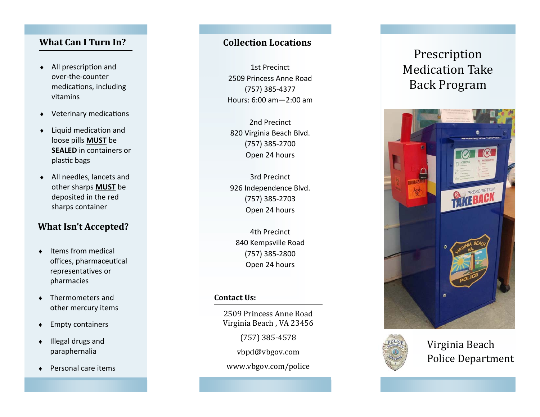# **What Can I Turn In?**

- $\bullet$ • All prescription and over-the-countermedications, including vitamins
- $\blacklozenge$ • Veterinary medications
- $\bullet$ • Liquid medication and loose pills **MUST** be **SEALED** in containers or plas Ɵc bags
- $\bullet$  All needles, lancets and other sharps **MUST** be deposited in the red sharps container

# **What Isn't Accepted?**

- $\bullet$ • Items from medical offices, pharmaceutical representa Ɵves or pharmacies
- $\bullet$  Thermometers and other mercury items
- $\bullet$ Empty containers
- $\bullet$  Illegal drugs and paraphernalia
- $\bullet$ Personal care items

### **Collection Locations**

1st Precinct 2509 Princess Anne Road(757) 385-4377 Hours: 6:00 am—2:00 am

2nd Precinct 820 Virginia Beach Blvd. (757) 385-2700 Open 24 hours

3rd Precinct 926 Independence Blvd. (757) 385-2703 Open 24 hours

4th Precinct 840 Kempsville Road (757) 385-2800 Open 24 hours

#### **Contact Us:**

2509 Princess Anne Road Virginia Beach, VA 23456

(757) 385-4578

vbpd@vbgov.com

www.vbgov.com/police

# Prescription Medication Take Back Program





Virginia Beach Police Department